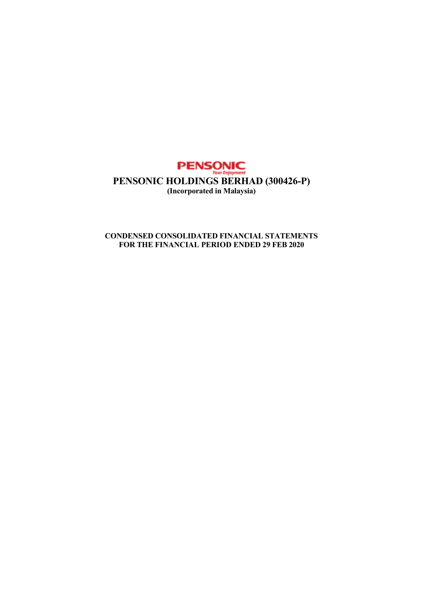

# **CONDENSED CONSOLIDATED FINANCIAL STATEMENTS FOR THE FINANCIAL PERIOD ENDED 29 FEB 2020**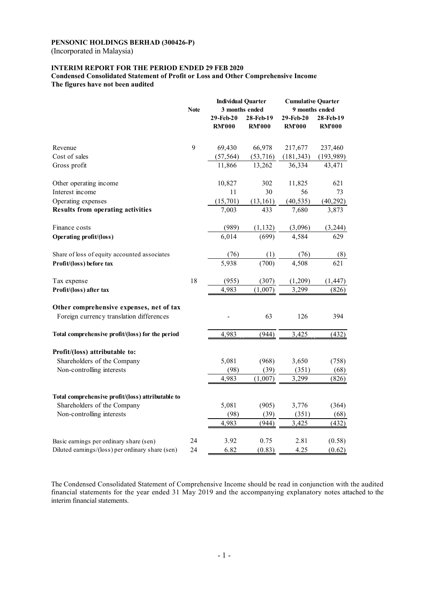(Incorporated in Malaysia)

# **INTERIM REPORT FOR THE PERIOD ENDED 29 FEB 2020**

**Condensed Consolidated Statement of Profit or Loss and Other Comprehensive Income The figures have not been audited** 

|                                                                                             |             | <b>Individual Quarter</b> |                | <b>Cumulative Quarter</b> |                  |  |
|---------------------------------------------------------------------------------------------|-------------|---------------------------|----------------|---------------------------|------------------|--|
|                                                                                             | <b>Note</b> |                           | 3 months ended | 9 months ended            |                  |  |
|                                                                                             |             | 29-Feb-20                 | 28-Feb-19      | 29-Feb-20                 | 28-Feb-19        |  |
|                                                                                             |             | <b>RM'000</b>             | <b>RM'000</b>  | <b>RM'000</b>             | <b>RM'000</b>    |  |
| Revenue                                                                                     | 9           | 69,430                    | 66,978         | 217,677                   | 237,460          |  |
| Cost of sales                                                                               |             | (57, 564)                 | (53, 716)      | (181, 343)                | (193, 989)       |  |
| Gross profit                                                                                |             | 11,866                    | 13,262         | 36,334                    | 43,471           |  |
|                                                                                             |             |                           |                |                           |                  |  |
| Other operating income                                                                      |             | 10,827                    | 302            | 11,825                    | 621              |  |
| Interest income                                                                             |             | 11                        | 30             | 56                        | 73               |  |
| Operating expenses                                                                          |             | (15, 701)                 | (13, 161)      | (40, 535)                 | (40, 292)        |  |
| <b>Results from operating activities</b>                                                    |             | 7,003                     | 433            | 7,680                     | 3,873            |  |
| Finance costs                                                                               |             | (989)                     | (1, 132)       | (3,096)                   | (3,244)          |  |
| <b>Operating profit/(loss)</b>                                                              |             | 6,014                     | (699)          | 4,584                     | 629              |  |
| Share of loss of equity accounted associates                                                |             | (76)                      | (1)            | (76)                      | (8)              |  |
| Profit/(loss) before tax                                                                    |             | 5,938                     | (700)          | 4,508                     | 621              |  |
|                                                                                             |             |                           |                |                           |                  |  |
| Tax expense                                                                                 | 18          | (955)                     | (307)          | (1,209)                   | (1, 447)         |  |
| Profit/(loss) after tax                                                                     |             | 4,983                     | (1,007)        | 3,299                     | (826)            |  |
| Other comprehensive expenses, net of tax                                                    |             |                           |                |                           |                  |  |
| Foreign currency translation differences                                                    |             |                           | 63             | 126                       | 394              |  |
| Total comprehensive profit/(loss) for the period                                            |             | 4,983                     | (944)          | 3,425                     | (432)            |  |
|                                                                                             |             |                           |                |                           |                  |  |
| Profit/(loss) attributable to:                                                              |             |                           |                |                           |                  |  |
| Shareholders of the Company                                                                 |             | 5,081                     | (968)          | 3,650                     | (758)            |  |
| Non-controlling interests                                                                   |             | (98)                      | (39)           | (351)                     | (68)             |  |
|                                                                                             |             | 4,983                     | (1,007)        | 3,299                     | (826)            |  |
| Total comprehensive profit/(loss) attributable to                                           |             |                           |                |                           |                  |  |
| Shareholders of the Company                                                                 |             | 5,081                     | (905)          | 3,776                     | (364)            |  |
| Non-controlling interests                                                                   |             | (98)                      | (39)           | (351)                     | (68)             |  |
|                                                                                             |             | 4,983                     | (944)          | 3,425                     | (432)            |  |
|                                                                                             |             |                           |                |                           |                  |  |
| Basic earnings per ordinary share (sen)<br>Diluted earnings/(loss) per ordinary share (sen) | 24<br>24    | 3.92<br>6.82              | 0.75<br>(0.83) | 2.81<br>4.25              | (0.58)<br>(0.62) |  |
|                                                                                             |             |                           |                |                           |                  |  |

The Condensed Consolidated Statement of Comprehensive Income should be read in conjunction with the audited financial statements for the year ended 31 May 2019 and the accompanying explanatory notes attached to the interim financial statements.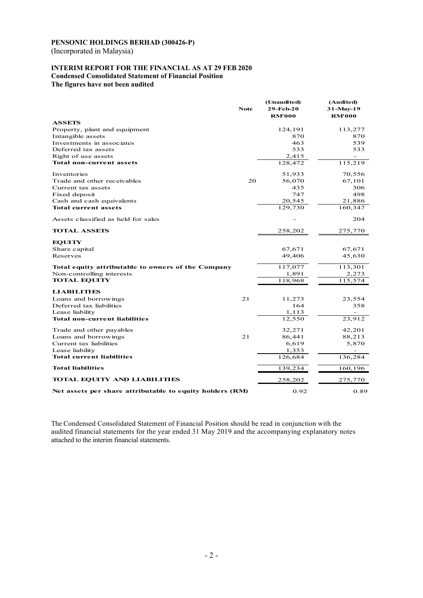(Incorporated in Malaysia)

### **INTERIM REPORT FOR THE FINANCIAL AS AT 29 FEB 2020 Condensed Consolidated Statement of Financial Position The figures have not been audited**

|                                                          | <b>Note</b> | (Unaudited)<br>29-Feb-20<br><b>RM'000</b> | (Audited)<br>31-May-19<br><b>RM'000</b> |
|----------------------------------------------------------|-------------|-------------------------------------------|-----------------------------------------|
| <b>ASSETS</b>                                            |             |                                           |                                         |
| Property, plant and equipment                            |             | 124,191                                   | 113,277                                 |
| Intangible assets                                        |             | 870                                       | 870                                     |
| Investments in associates                                |             | 463                                       | 539                                     |
| Deferred tax assets                                      |             | 533                                       | 533                                     |
| Right of use assets                                      |             | 2,415                                     |                                         |
| <b>Total non-current assets</b>                          |             | 128,472                                   | 115,219                                 |
| Inventories                                              |             | 51,933                                    | 70,556                                  |
| Trade and other receivables                              | 20          | 56,070                                    | 67,101                                  |
| Current tax assets                                       |             | 435                                       | 306                                     |
| Fixed deposit                                            |             | 747                                       | 498                                     |
| Cash and cash equivalents                                |             | 20,545                                    | 21,886                                  |
| <b>Total current assets</b>                              |             | 129,730                                   | 160,347                                 |
| Assets classified as held for sales                      |             |                                           | 204                                     |
| <b>TOTAL ASSETS</b>                                      |             | 258,202                                   | 275,770                                 |
| <b>EQUITY</b>                                            |             |                                           |                                         |
| Share capital                                            |             | 67,671                                    | 67,671                                  |
| Reserves                                                 |             | 49,406                                    | 45,630                                  |
| Total equity attributable to owners of the Company       |             | 117,077                                   | 113,301                                 |
| Non-controlling interests                                |             | 1,891                                     | 2,273                                   |
| <b>TOTAL EQUITY</b>                                      |             | 118,968                                   | 115,574                                 |
| <b>LIABILITIES</b>                                       |             |                                           |                                         |
| Loans and borrowings                                     | 21          | 11,273                                    | 23,554                                  |
| Deferred tax liabilities                                 |             | 164                                       | 358                                     |
| Lease liability                                          |             | 1,113                                     |                                         |
| <b>Total non-current liabilities</b>                     |             | 12,550                                    | 23,912                                  |
| Trade and other payables                                 |             | 32,271                                    | 42,201                                  |
| Loans and borrowings                                     | 21          | 86,441                                    | 88,213                                  |
| Current tax liabilities                                  |             | 6,619                                     | 5,870                                   |
| Lease liability                                          |             | 1,353                                     |                                         |
| <b>Total current liabilities</b>                         |             | 126,684                                   | 136,284                                 |
| <b>Total liabilities</b>                                 |             | 139,234                                   | 160,196                                 |
| <b>TOTAL EQUITY AND LIABILITIES</b>                      |             | 258,202                                   | 275,770                                 |
| Net assets per share attributable to equity holders (RM) |             | 0.92                                      | 0.89                                    |

The Condensed Consolidated Statement of Financial Position should be read in conjunction with the audited financial statements for the year ended 31 May 2019 and the accompanying explanatory notes attached to the interim financial statements.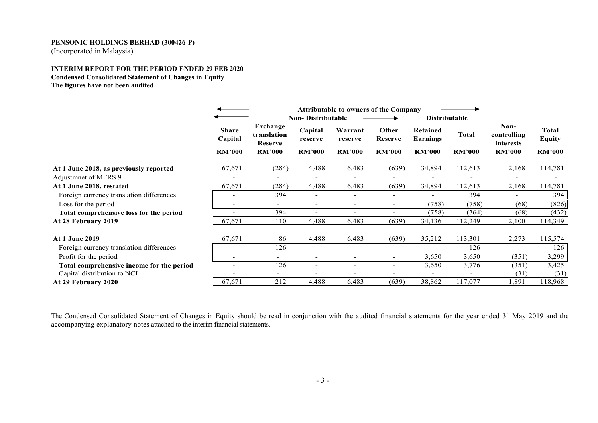(Incorporated in Malaysia)

## **INTERIM REPORT FOR THE PERIOD ENDED 29 FEB 2020 Condensed Consolidated Statement of Changes in Equity The figures have not been audited**

|                                           |                         | <b>Attributable to owners of the Company</b> |                          |                          |                          |                             |                      |                                  |                               |
|-------------------------------------------|-------------------------|----------------------------------------------|--------------------------|--------------------------|--------------------------|-----------------------------|----------------------|----------------------------------|-------------------------------|
|                                           |                         |                                              | <b>Non-Distributable</b> |                          |                          |                             | <b>Distributable</b> |                                  |                               |
|                                           | <b>Share</b><br>Capital | Exchange<br>translation<br><b>Reserve</b>    | Capital<br>reserve       | Warrant<br>reserve       | Other<br><b>Reserve</b>  | <b>Retained</b><br>Earnings | <b>Total</b>         | Non-<br>controlling<br>interests | <b>Total</b><br><b>Equity</b> |
|                                           | <b>RM'000</b>           | <b>RM'000</b>                                | <b>RM'000</b>            | <b>RM'000</b>            | <b>RM'000</b>            | <b>RM'000</b>               | <b>RM'000</b>        | <b>RM'000</b>                    | <b>RM'000</b>                 |
| At 1 June 2018, as previously reported    | 67,671                  | (284)                                        | 4,488                    | 6,483                    | (639)                    | 34,894                      | 112,613              | 2,168                            | 114,781                       |
| Adjustment of MFRS 9                      |                         |                                              |                          |                          |                          |                             |                      |                                  |                               |
| At 1 June 2018, restated                  | 67,671                  | (284)                                        | 4,488                    | 6,483                    | (639)                    | 34,894                      | 112,613              | 2,168                            | 114,781                       |
| Foreign currency translation differences  |                         | 394                                          | $\overline{\phantom{0}}$ |                          |                          |                             | 394                  |                                  | 394                           |
| Loss for the period                       |                         | $\overline{\phantom{0}}$                     | $\overline{\phantom{a}}$ | -                        |                          | (758)                       | (758)                | (68)                             | (826)                         |
| Total comprehensive loss for the period   |                         | 394                                          | $\overline{\phantom{a}}$ | $\overline{\phantom{a}}$ |                          | (758)                       | (364)                | (68)                             | (432)                         |
| At 28 February 2019                       | 67,671                  | 110                                          | 4,488                    | 6,483                    | (639)                    | 34,136                      | 112,249              | 2,100                            | 114,349                       |
| <b>At 1 June 2019</b>                     | 67,671                  | 86                                           | 4,488                    | 6,483                    | (639)                    | 35,212                      | 113,301              | 2,273                            | 115,574                       |
| Foreign currency translation differences  |                         | 126                                          | $\blacksquare$           | $\overline{\phantom{0}}$ |                          |                             | 126                  |                                  | 126                           |
| Profit for the period                     |                         | $\overline{\phantom{0}}$                     | $\overline{\phantom{a}}$ | $\overline{\phantom{a}}$ | $\overline{\phantom{0}}$ | 3,650                       | 3,650                | (351)                            | 3,299                         |
| Total comprehensive income for the period |                         | 126                                          | $\overline{\phantom{a}}$ |                          |                          | 3,650                       | 3,776                | (351)                            | 3,425                         |
| Capital distribution to NCI               |                         |                                              |                          |                          |                          | $\overline{\phantom{0}}$    |                      | (31)                             | (31)                          |
| At 29 February 2020                       | 67,671                  | 212                                          | 4,488                    | 6,483                    | (639)                    | 38,862                      | 117,077              | .891                             | 118,968                       |

The Condensed Consolidated Statement of Changes in Equity should be read in conjunction with the audited financial statements for the year ended 31 May 2019 and the accompanying explanatory notes attached to the interim financial statements.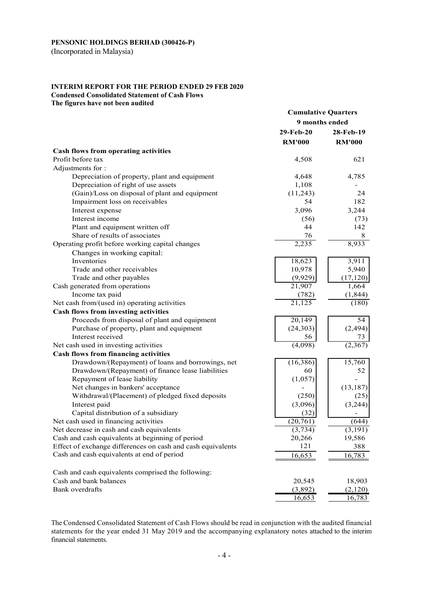(Incorporated in Malaysia)

# **INTERIM REPORT FOR THE PERIOD ENDED 29 FEB 2020 Condensed Consolidated Statement of Cash Flows**

**The figures have not been audited** 

|                                                             | <b>Cumulative Quarters</b><br>9 months ended |                          |
|-------------------------------------------------------------|----------------------------------------------|--------------------------|
|                                                             | 29-Feb-20                                    | 28-Feb-19                |
|                                                             | <b>RM'000</b>                                | <b>RM'000</b>            |
| <b>Cash flows from operating activities</b>                 |                                              |                          |
| Profit before tax                                           | 4,508                                        | 621                      |
| Adjustments for:                                            |                                              |                          |
| Depreciation of property, plant and equipment               | 4,648                                        | 4,785                    |
| Depreciation of right of use assets                         | 1,108                                        |                          |
| (Gain)/Loss on disposal of plant and equipment              | (11,243)                                     | 24                       |
| Impairment loss on receivables                              | 54                                           | 182                      |
| Interest expense                                            | 3,096                                        | 3,244                    |
| Interest income                                             | (56)                                         | (73)                     |
| Plant and equipment written off                             | 44                                           | 142                      |
| Share of results of associates                              | 76                                           | 8                        |
| Operating profit before working capital changes             | 2,235                                        | 8,933                    |
| Changes in working capital:                                 |                                              |                          |
| Inventories                                                 | 18,623                                       | 3,911                    |
| Trade and other receivables                                 | 10,978                                       | 5,940                    |
| Trade and other payables                                    | (9,929)                                      | (17, 120)                |
| Cash generated from operations                              | 21,907                                       | 1,664                    |
| Income tax paid                                             | (782)                                        | (1, 844)                 |
| Net cash from/(used in) operating activities                | $\overline{21,125}$                          | (180)                    |
| Cash flows from investing activities                        |                                              |                          |
| Proceeds from disposal of plant and equipment               | 20,149                                       | $\overline{54}$          |
| Purchase of property, plant and equipment                   | (24, 303)                                    | (2, 494)                 |
| Interest received                                           | 56                                           | 73                       |
| Net cash used in investing activities                       | (4,098)                                      | (2,367)                  |
| <b>Cash flows from financing activities</b>                 |                                              |                          |
| Drawdown/(Repayment) of loans and borrowings, net           | (16, 386)                                    | 15,760                   |
| Drawdown/(Repayment) of finance lease liabilities           | 60                                           | 52                       |
| Repayment of lease liability                                | (1,057)                                      | $\overline{\phantom{0}}$ |
| Net changes in bankers' acceptance                          | $\overline{a}$                               | (13, 187)                |
| Withdrawal/(Placement) of pledged fixed deposits            | (250)                                        | (25)                     |
| Interest paid                                               | (3,096)                                      | (3,244)                  |
| Capital distribution of a subsidiary                        | (32)                                         |                          |
| Net cash used in financing activities                       | (20, 761)                                    | (644)                    |
| Net decrease in cash and cash equivalents                   | (3,734)                                      | (3,191)                  |
| Cash and cash equivalents at beginning of period            | 20,266                                       | 19,586                   |
| Effect of exchange differences on cash and cash equivalents | 121                                          | 388                      |
| Cash and cash equivalents at end of period                  | 16,653                                       | 16,783                   |
| Cash and cash equivalents comprised the following:          |                                              |                          |
| Cash and bank balances                                      | 20,545                                       | 18,903                   |
| Bank overdrafts                                             | (3,892)                                      | (2,120)                  |
|                                                             | 16,653                                       | 16,783                   |

The Condensed Consolidated Statement of Cash Flows should be read in conjunction with the audited financial statements for the year ended 31 May 2019 and the accompanying explanatory notes attached to the interim financial statements.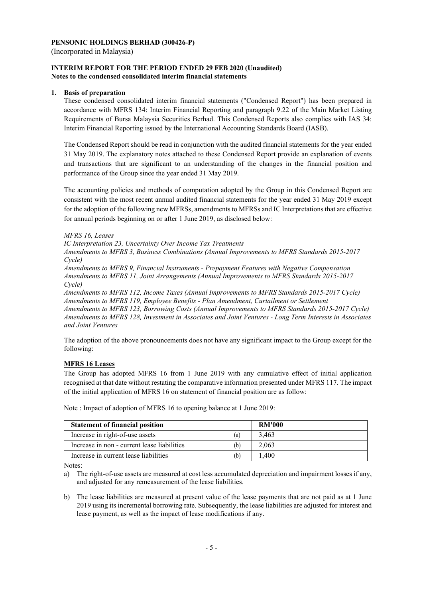(Incorporated in Malaysia)

## **INTERIM REPORT FOR THE PERIOD ENDED 29 FEB 2020 (Unaudited) Notes to the condensed consolidated interim financial statements**

# **1. Basis of preparation**

These condensed consolidated interim financial statements ("Condensed Report") has been prepared in accordance with MFRS 134: Interim Financial Reporting and paragraph 9.22 of the Main Market Listing Requirements of Bursa Malaysia Securities Berhad. This Condensed Reports also complies with IAS 34: Interim Financial Reporting issued by the International Accounting Standards Board (IASB).

The Condensed Report should be read in conjunction with the audited financial statements for the year ended 31 May 2019. The explanatory notes attached to these Condensed Report provide an explanation of events and transactions that are significant to an understanding of the changes in the financial position and performance of the Group since the year ended 31 May 2019.

The accounting policies and methods of computation adopted by the Group in this Condensed Report are consistent with the most recent annual audited financial statements for the year ended 31 May 2019 except for the adoption of the following new MFRSs, amendments to MFRSs and IC Interpretations that are effective for annual periods beginning on or after 1 June 2019, as disclosed below:

# *MFRS 16, Leases*

*IC Interpretation 23, Uncertainty Over Income Tax Treatments* 

*Amendments to MFRS 3, Business Combinations (Annual Improvements to MFRS Standards 2015-2017 Cycle)* 

*Amendments to MFRS 9, Financial Instruments - Prepayment Features with Negative Compensation Amendments to MFRS 11, Joint Arrangements (Annual Improvements to MFRS Standards 2015-2017 Cycle)* 

*Amendments to MFRS 112, Income Taxes (Annual Improvements to MFRS Standards 2015-2017 Cycle) Amendments to MFRS 119, Employee Benefits - Plan Amendment, Curtailment or Settlement Amendments to MFRS 123, Borrowing Costs (Annual Improvements to MFRS Standards 2015-2017 Cycle) Amendments to MFRS 128, Investment in Associates and Joint Ventures - Long Term Interests in Associates and Joint Ventures* 

The adoption of the above pronouncements does not have any significant impact to the Group except for the following:

# **MFRS 16 Leases**

The Group has adopted MFRS 16 from 1 June 2019 with any cumulative effect of initial application recognised at that date without restating the comparative information presented under MFRS 117. The impact of the initial application of MFRS 16 on statement of financial position are as follow:

| <b>Statement of financial position</b>      |                   | <b>RM'000</b> |
|---------------------------------------------|-------------------|---------------|
| Increase in right-of-use assets             | $\left( a\right)$ | 3.463         |
| Increase in non - current lease liabilities | (b)               | 2,063         |
| Increase in current lease liabilities       | (b)               | 1.400         |

Note : Impact of adoption of MFRS 16 to opening balance at 1 June 2019:

Notes:

a) The right-of-use assets are measured at cost less accumulated depreciation and impairment losses if any, and adjusted for any remeasurement of the lease liabilities.

b) The lease liabilities are measured at present value of the lease payments that are not paid as at 1 June 2019 using its incremental borrowing rate. Subsequently, the lease liabilities are adjusted for interest and lease payment, as well as the impact of lease modifications if any.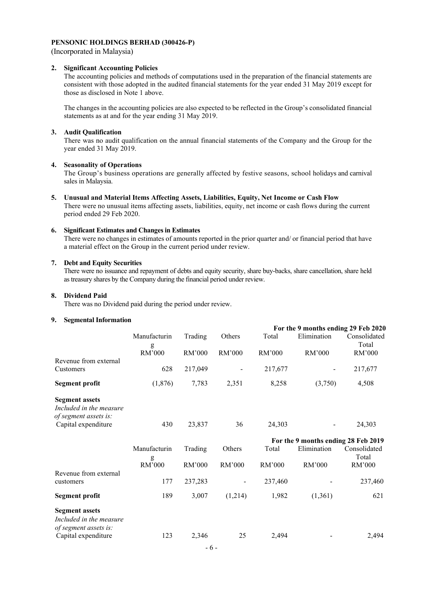(Incorporated in Malaysia)

#### **2. Significant Accounting Policies**

The accounting policies and methods of computations used in the preparation of the financial statements are consistent with those adopted in the audited financial statements for the year ended 31 May 2019 except for those as disclosed in Note 1 above.

The changes in the accounting policies are also expected to be reflected in the Group's consolidated financial statements as at and for the year ending 31 May 2019.

#### **3. Audit Qualification**

 There was no audit qualification on the annual financial statements of the Company and the Group for the year ended 31 May 2019.

#### **4. Seasonality of Operations**

 The Group's business operations are generally affected by festive seasons, school holidays and carnival sales in Malaysia.

# **5. Unusual and Material Items Affecting Assets, Liabilities, Equity, Net Income or Cash Flow**

There were no unusual items affecting assets, liabilities, equity, net income or cash flows during the current period ended 29 Feb 2020.

# **6. Significant Estimates and Changes in Estimates**

There were no changes in estimates of amounts reported in the prior quarter and/ or financial period that have a material effect on the Group in the current period under review.

#### **7. Debt and Equity Securities**

There were no issuance and repayment of debts and equity security, share buy-backs, share cancellation, share held as treasury shares by the Company during the financial period under review.

#### **8. Dividend Paid**

There was no Dividend paid during the period under review.

#### **9. Segmental Information**

| эединентат питог платноп                                                                         |                   |         |         |         |                                                    |                       |
|--------------------------------------------------------------------------------------------------|-------------------|---------|---------|---------|----------------------------------------------------|-----------------------|
|                                                                                                  | Manufacturin      | Trading | Others  | Total   | For the 9 months ending 29 Feb 2020<br>Elimination | Consolidated          |
|                                                                                                  | g<br>RM'000       | RM'000  | RM'000  | RM'000  | RM'000                                             | Total<br>RM'000       |
| Revenue from external<br>Customers                                                               | 628               | 217,049 |         | 217,677 |                                                    | 217,677               |
| <b>Segment profit</b>                                                                            | (1, 876)          | 7,783   | 2,351   | 8,258   | (3,750)                                            | 4,508                 |
| <b>Segment assets</b><br>Included in the measure<br>of segment assets is:<br>Capital expenditure | 430               | 23,837  | 36      | 24,303  |                                                    | 24,303                |
|                                                                                                  |                   |         |         |         | For the 9 months ending 28 Feb 2019                |                       |
|                                                                                                  | Manufacturin<br>g | Trading | Others  | Total   | Elimination                                        | Consolidated<br>Total |
|                                                                                                  | RM'000            | RM'000  | RM'000  | RM'000  | RM'000                                             | RM'000                |
| Revenue from external<br>customers                                                               | 177               | 237,283 |         | 237,460 |                                                    | 237,460               |
| <b>Segment profit</b>                                                                            | 189               | 3,007   | (1,214) | 1,982   | (1,361)                                            | 621                   |
| <b>Segment assets</b>                                                                            |                   |         |         |         |                                                    |                       |
| Included in the measure<br>of segment assets is:                                                 |                   |         |         |         |                                                    |                       |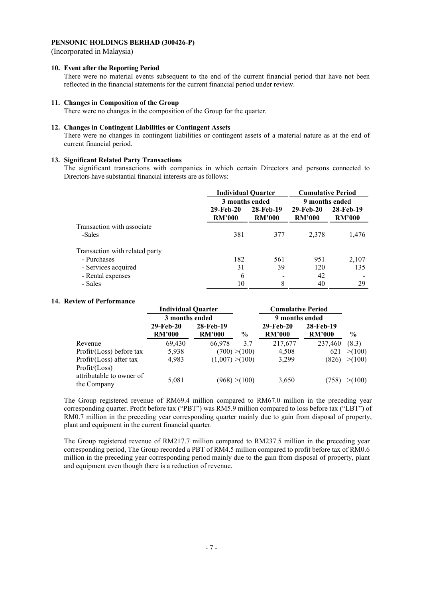(Incorporated in Malaysia)

## **10. Event after the Reporting Period**

There were no material events subsequent to the end of the current financial period that have not been reflected in the financial statements for the current financial period under review.

#### **11. Changes in Composition of the Group**

There were no changes in the composition of the Group for the quarter.

#### **12. Changes in Contingent Liabilities or Contingent Assets**

There were no changes in contingent liabilities or contingent assets of a material nature as at the end of current financial period.

### **13. Significant Related Party Transactions**

 The significant transactions with companies in which certain Directors and persons connected to Directors have substantial financial interests are as follows:

|                                | <b>Individual Quarter</b>  |                            | <b>Cumulative Period</b>   |                            |  |
|--------------------------------|----------------------------|----------------------------|----------------------------|----------------------------|--|
|                                | 3 months ended             |                            | 9 months ended             |                            |  |
|                                | 29-Feb-20<br><b>RM'000</b> | 28-Feb-19<br><b>RM'000</b> | 29-Feb-20<br><b>RM'000</b> | 28-Feb-19<br><b>RM'000</b> |  |
| Transaction with associate     |                            |                            |                            |                            |  |
| -Sales                         | 381                        | 377                        | 2,378                      | 1,476                      |  |
| Transaction with related party |                            |                            |                            |                            |  |
| - Purchases                    | 182                        | 561                        | 951                        | 2,107                      |  |
| - Services acquired            | 31                         | 39                         | 120                        | 135                        |  |
| - Rental expenses              | 6                          |                            | 42                         |                            |  |
| - Sales                        | 10                         | 8                          | 40                         | 29                         |  |

## **14. Review of Performance**

|                                         | <b>Individual Quarter</b> |                 |               | <b>Cumulative Period</b> |               |               |
|-----------------------------------------|---------------------------|-----------------|---------------|--------------------------|---------------|---------------|
|                                         | 3 months ended            |                 |               | 9 months ended           |               |               |
|                                         | 29-Feb-20                 | 28-Feb-19       |               | 29-Feb-20                | 28-Feb-19     |               |
|                                         | <b>RM'000</b>             | <b>RM'000</b>   | $\frac{6}{9}$ | <b>RM'000</b>            | <b>RM'000</b> | $\frac{6}{9}$ |
| Revenue                                 | 69,430                    | 66,978          | 3.7           | 217,677                  | 237.460       | (8.3)         |
| Profit/(Loss) before tax                | 5.938                     |                 | (700) > (100) | 4,508                    | 621           | >(100)        |
| Profit/(Loss) after tax                 | 4,983                     | (1,007) > (100) |               | 3,299                    | (826)         | >(100)        |
| Profit / (Loss)                         |                           |                 |               |                          |               |               |
| attributable to owner of<br>the Company | 5,081                     |                 | (968) > (100) | 3,650                    | (758          | >(100)        |

The Group registered revenue of RM69.4 million compared to RM67.0 million in the preceding year corresponding quarter. Profit before tax ("PBT") was RM5.9 million compared to loss before tax ("LBT") of RM0.7 million in the preceding year corresponding quarter mainly due to gain from disposal of property, plant and equipment in the current financial quarter.

The Group registered revenue of RM217.7 million compared to RM237.5 million in the preceding year corresponding period, The Group recorded a PBT of RM4.5 million compared to profit before tax of RM0.6 million in the preceding year corresponding period mainly due to the gain from disposal of property, plant and equipment even though there is a reduction of revenue.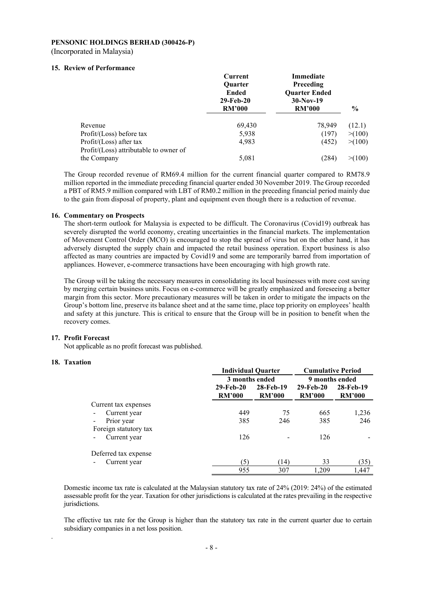#### **PENSONIC HOLDINGS BERHAD (300426-P)**  (Incorporated in Malaysia)

## **15. Review of Performance**

|                                        | Current<br><b>Ouarter</b><br>Ended<br>29-Feb-20 | Immediate<br>Preceding<br><b>Ouarter Ended</b><br>$30-Nov-19$ |               |
|----------------------------------------|-------------------------------------------------|---------------------------------------------------------------|---------------|
|                                        | <b>RM'000</b>                                   | <b>RM'000</b>                                                 | $\frac{6}{9}$ |
| Revenue                                | 69,430                                          | 78,949                                                        | (12.1)        |
| Profit/(Loss) before tax               | 5.938                                           | (197)                                                         | > (100)       |
| Profit/(Loss) after tax                | 4.983                                           | (452)                                                         | >(100)        |
| Profit/(Loss) attributable to owner of |                                                 |                                                               |               |
| the Company                            | 5,081                                           | (284                                                          | > (100)       |

The Group recorded revenue of RM69.4 million for the current financial quarter compared to RM78.9 million reported in the immediate preceding financial quarter ended 30 November 2019. The Group recorded a PBT of RM5.9 million compared with LBT of RM0.2 million in the preceding financial period mainly due to the gain from disposal of property, plant and equipment even though there is a reduction of revenue.

#### **16. Commentary on Prospects**

The short-term outlook for Malaysia is expected to be difficult. The Coronavirus (Covid19) outbreak has severely disrupted the world economy, creating uncertainties in the financial markets. The implementation of Movement Control Order (MCO) is encouraged to stop the spread of virus but on the other hand, it has adversely disrupted the supply chain and impacted the retail business operation. Export business is also affected as many countries are impacted by Covid19 and some are temporarily barred from importation of appliances. However, e-commerce transactions have been encouraging with high growth rate.

The Group will be taking the necessary measures in consolidating its local businesses with more cost saving by merging certain business units. Focus on e-commerce will be greatly emphasized and foreseeing a better margin from this sector. More precautionary measures will be taken in order to mitigate the impacts on the Group's bottom line, preserve its balance sheet and at the same time, place top priority on employees' health and safety at this juncture. This is critical to ensure that the Group will be in position to benefit when the recovery comes.

#### **17. Profit Forecast**

Not applicable as no profit forecast was published.

### **18. Taxation**

.

|                                     |                            | <b>Individual Quarter</b>  |                            | <b>Cumulative Period</b>   |  |  |
|-------------------------------------|----------------------------|----------------------------|----------------------------|----------------------------|--|--|
|                                     | 3 months ended             |                            | 9 months ended             |                            |  |  |
|                                     | 29-Feb-20<br><b>RM'000</b> | 28-Feb-19<br><b>RM'000</b> | 29-Feb-20<br><b>RM'000</b> | 28-Feb-19<br><b>RM'000</b> |  |  |
| Current tax expenses                |                            |                            |                            |                            |  |  |
| Current year                        | 449                        | 75                         | 665                        | 1,236                      |  |  |
| Prior year<br>Foreign statutory tax | 385                        | 246                        | 385                        | 246                        |  |  |
| Current year<br>-                   | 126                        | $\overline{\phantom{a}}$   | 126                        |                            |  |  |
| Deferred tax expense                |                            |                            |                            |                            |  |  |
| Current year                        | (5)                        | (14)                       | 33                         | (35)                       |  |  |
|                                     | 955                        | 307                        | 1.209                      | 1.447                      |  |  |

Domestic income tax rate is calculated at the Malaysian statutory tax rate of 24% (2019: 24%) of the estimated assessable profit for the year. Taxation for other jurisdictions is calculated at the rates prevailing in the respective jurisdictions.

The effective tax rate for the Group is higher than the statutory tax rate in the current quarter due to certain subsidiary companies in a net loss position.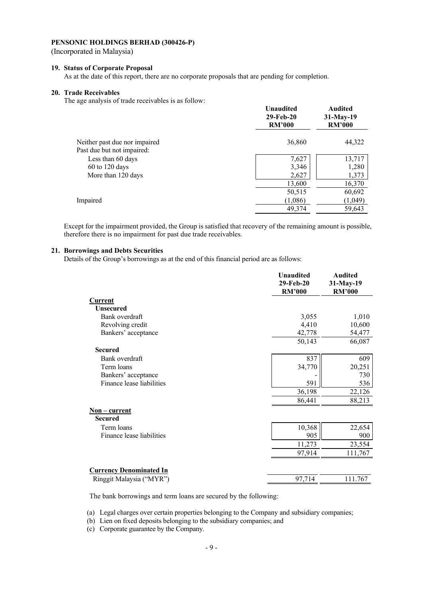(Incorporated in Malaysia)

# **19. Status of Corporate Proposal**

As at the date of this report, there are no corporate proposals that are pending for completion.

#### **20. Trade Receivables**

The age analysis of trade receivables is as follow:

|                               | Unaudited<br>29-Feb-20<br><b>RM'000</b> | <b>Audited</b><br>$31$ -May-19<br><b>RM'000</b> |
|-------------------------------|-----------------------------------------|-------------------------------------------------|
| Neither past due nor impaired | 36,860                                  | 44,322                                          |
| Past due but not impaired:    |                                         |                                                 |
| Less than 60 days             | 7,627                                   | 13,717                                          |
| $60$ to 120 days              | 3,346                                   | 1,280                                           |
| More than 120 days            | 2,627                                   | 1,373                                           |
|                               | 13,600                                  | 16,370                                          |
|                               | 50,515                                  | 60,692                                          |
| Impaired                      | (1,086)                                 | (1,049)                                         |
|                               | 49,374                                  | 59,643                                          |
|                               |                                         |                                                 |

Except for the impairment provided, the Group is satisfied that recovery of the remaining amount is possible, therefore there is no impairment for past due trade receivables.

#### **21. Borrowings and Debts Securities**

Details of the Group's borrowings as at the end of this financial period are as follows:

|                                                            | <b>Unaudited</b><br>29-Feb-20<br><b>RM'000</b> | <b>Audited</b><br>31-May-19<br><b>RM'000</b> |
|------------------------------------------------------------|------------------------------------------------|----------------------------------------------|
| <b>Current</b>                                             |                                                |                                              |
| <b>Unsecured</b>                                           |                                                |                                              |
| Bank overdraft                                             | 3,055                                          | 1,010                                        |
| Revolving credit                                           | 4,410                                          | 10,600                                       |
| Bankers' acceptance                                        | 42,778                                         | 54,477                                       |
|                                                            | 50,143                                         | 66,087                                       |
| <b>Secured</b>                                             |                                                |                                              |
| Bank overdraft                                             | 837                                            | 609                                          |
| Term loans                                                 | 34,770                                         | 20,251                                       |
| Bankers' acceptance                                        |                                                | 730                                          |
| Finance lease liabilities                                  | 591                                            | 536                                          |
|                                                            | 36,198                                         | 22,126                                       |
|                                                            | 86,441                                         | 88,213                                       |
| <u>Non – current</u>                                       |                                                |                                              |
| <b>Secured</b>                                             |                                                |                                              |
| Term loans                                                 | 10,368                                         | 22,654                                       |
| Finance lease liabilities                                  | 905                                            | 900                                          |
|                                                            | 11,273                                         | 23,554                                       |
|                                                            | 97,914                                         | 111,767                                      |
|                                                            |                                                |                                              |
| <b>Currency Denominated In</b><br>Ringgit Malaysia ("MYR") | 97,714                                         | 111.767                                      |
|                                                            |                                                |                                              |

The bank borrowings and term loans are secured by the following:

(a) Legal charges over certain properties belonging to the Company and subsidiary companies;

(b) Lien on fixed deposits belonging to the subsidiary companies; and

(c) Corporate guarantee by the Company.